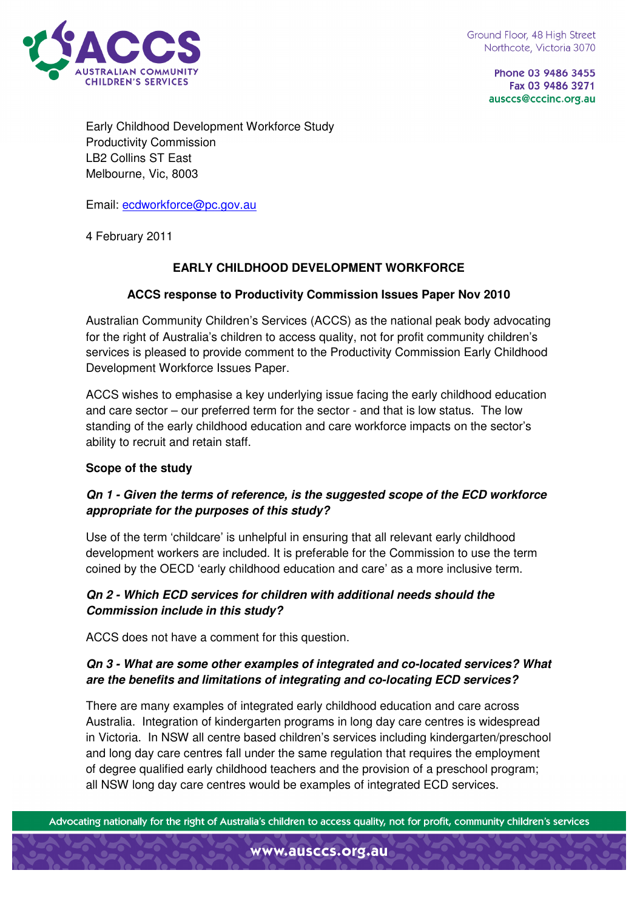

Phone 03 9486 3455 Fax 03 9486 3271 ausccs@cccinc.org.au

Early Childhood Development Workforce Study Productivity Commission LB2 Collins ST East Melbourne, Vic, 8003

Email: ecdworkforce@pc.gov.au

4 February 2011

### **EARLY CHILDHOOD DEVELOPMENT WORKFORCE**

#### **ACCS response to Productivity Commission Issues Paper Nov 2010**

Australian Community Children's Services (ACCS) as the national peak body advocating for the right of Australia's children to access quality, not for profit community children's services is pleased to provide comment to the Productivity Commission Early Childhood Development Workforce Issues Paper.

ACCS wishes to emphasise a key underlying issue facing the early childhood education and care sector – our preferred term for the sector - and that is low status. The low standing of the early childhood education and care workforce impacts on the sector's ability to recruit and retain staff.

#### **Scope of the study**

#### **Qn 1 - Given the terms of reference, is the suggested scope of the ECD workforce appropriate for the purposes of this study?**

Use of the term 'childcare' is unhelpful in ensuring that all relevant early childhood development workers are included. It is preferable for the Commission to use the term coined by the OECD 'early childhood education and care' as a more inclusive term.

#### **Qn 2 - Which ECD services for children with additional needs should the Commission include in this study?**

ACCS does not have a comment for this question.

### **Qn 3 - What are some other examples of integrated and co-located services? What are the benefits and limitations of integrating and co-locating ECD services?**

There are many examples of integrated early childhood education and care across Australia. Integration of kindergarten programs in long day care centres is widespread in Victoria. In NSW all centre based children's services including kindergarten/preschool and long day care centres fall under the same regulation that requires the employment of degree qualified early childhood teachers and the provision of a preschool program; all NSW long day care centres would be examples of integrated ECD services.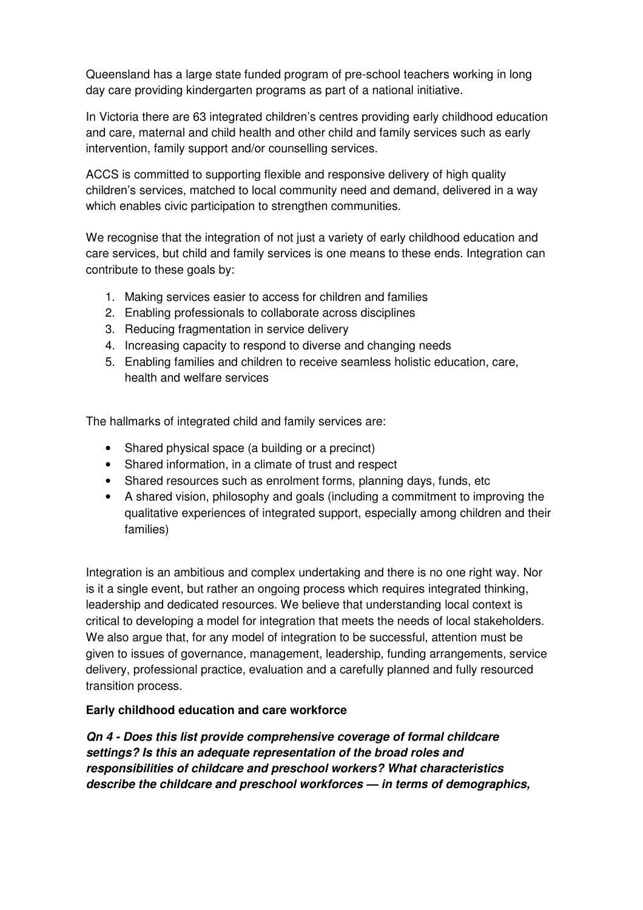Queensland has a large state funded program of pre-school teachers working in long day care providing kindergarten programs as part of a national initiative.

In Victoria there are 63 integrated children's centres providing early childhood education and care, maternal and child health and other child and family services such as early intervention, family support and/or counselling services.

ACCS is committed to supporting flexible and responsive delivery of high quality children's services, matched to local community need and demand, delivered in a way which enables civic participation to strengthen communities.

We recognise that the integration of not just a variety of early childhood education and care services, but child and family services is one means to these ends. Integration can contribute to these goals by:

- 1. Making services easier to access for children and families
- 2. Enabling professionals to collaborate across disciplines
- 3. Reducing fragmentation in service delivery
- 4. Increasing capacity to respond to diverse and changing needs
- 5. Enabling families and children to receive seamless holistic education, care, health and welfare services

The hallmarks of integrated child and family services are:

- Shared physical space (a building or a precinct)
- Shared information, in a climate of trust and respect
- Shared resources such as enrolment forms, planning days, funds, etc
- A shared vision, philosophy and goals (including a commitment to improving the qualitative experiences of integrated support, especially among children and their families)

Integration is an ambitious and complex undertaking and there is no one right way. Nor is it a single event, but rather an ongoing process which requires integrated thinking, leadership and dedicated resources. We believe that understanding local context is critical to developing a model for integration that meets the needs of local stakeholders. We also argue that, for any model of integration to be successful, attention must be given to issues of governance, management, leadership, funding arrangements, service delivery, professional practice, evaluation and a carefully planned and fully resourced transition process.

### **Early childhood education and care workforce**

**Qn 4 - Does this list provide comprehensive coverage of formal childcare settings? Is this an adequate representation of the broad roles and responsibilities of childcare and preschool workers? What characteristics describe the childcare and preschool workforces — in terms of demographics,**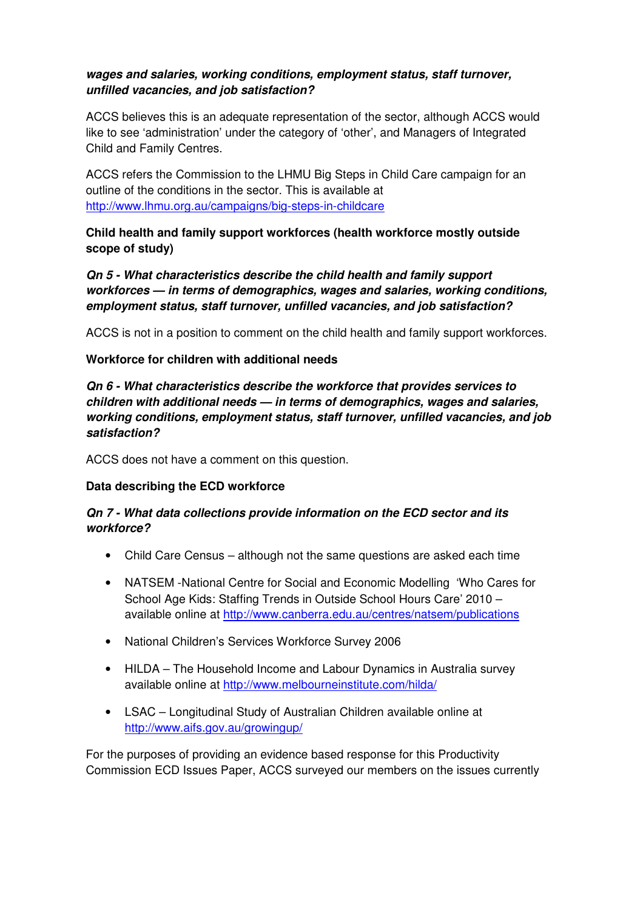### **wages and salaries, working conditions, employment status, staff turnover, unfilled vacancies, and job satisfaction?**

ACCS believes this is an adequate representation of the sector, although ACCS would like to see 'administration' under the category of 'other', and Managers of Integrated Child and Family Centres.

ACCS refers the Commission to the LHMU Big Steps in Child Care campaign for an outline of the conditions in the sector. This is available at http://www.lhmu.org.au/campaigns/big-steps-in-childcare

**Child health and family support workforces (health workforce mostly outside scope of study)** 

**Qn 5 - What characteristics describe the child health and family support workforces — in terms of demographics, wages and salaries, working conditions, employment status, staff turnover, unfilled vacancies, and job satisfaction?** 

ACCS is not in a position to comment on the child health and family support workforces.

#### **Workforce for children with additional needs**

**Qn 6 - What characteristics describe the workforce that provides services to children with additional needs — in terms of demographics, wages and salaries, working conditions, employment status, staff turnover, unfilled vacancies, and job satisfaction?** 

ACCS does not have a comment on this question.

### **Data describing the ECD workforce**

### **Qn 7 - What data collections provide information on the ECD sector and its workforce?**

- Child Care Census although not the same questions are asked each time
- NATSEM -National Centre for Social and Economic Modelling 'Who Cares for School Age Kids: Staffing Trends in Outside School Hours Care' 2010 – available online at http://www.canberra.edu.au/centres/natsem/publications
- National Children's Services Workforce Survey 2006
- HILDA The Household Income and Labour Dynamics in Australia survey available online at http://www.melbourneinstitute.com/hilda/
- LSAC Longitudinal Study of Australian Children available online at http://www.aifs.gov.au/growingup/

For the purposes of providing an evidence based response for this Productivity Commission ECD Issues Paper, ACCS surveyed our members on the issues currently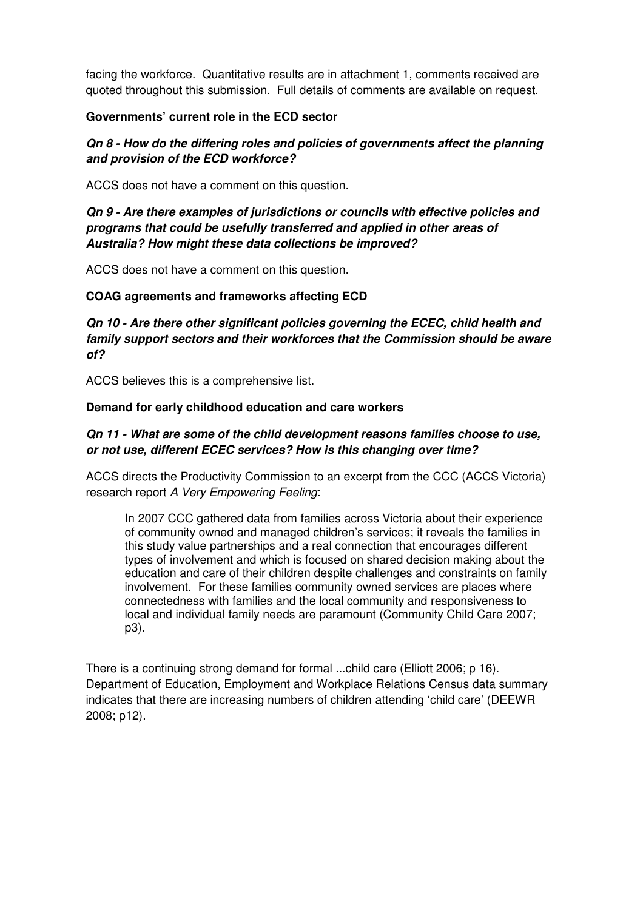facing the workforce. Quantitative results are in attachment 1, comments received are quoted throughout this submission. Full details of comments are available on request.

#### **Governments' current role in the ECD sector**

## **Qn 8 - How do the differing roles and policies of governments affect the planning and provision of the ECD workforce?**

ACCS does not have a comment on this question.

# **Qn 9 - Are there examples of jurisdictions or councils with effective policies and programs that could be usefully transferred and applied in other areas of Australia? How might these data collections be improved?**

ACCS does not have a comment on this question.

### **COAG agreements and frameworks affecting ECD**

**Qn 10 - Are there other significant policies governing the ECEC, child health and family support sectors and their workforces that the Commission should be aware of?** 

ACCS believes this is a comprehensive list.

#### **Demand for early childhood education and care workers**

## **Qn 11 - What are some of the child development reasons families choose to use, or not use, different ECEC services? How is this changing over time?**

ACCS directs the Productivity Commission to an excerpt from the CCC (ACCS Victoria) research report A Very Empowering Feeling:

In 2007 CCC gathered data from families across Victoria about their experience of community owned and managed children's services; it reveals the families in this study value partnerships and a real connection that encourages different types of involvement and which is focused on shared decision making about the education and care of their children despite challenges and constraints on family involvement. For these families community owned services are places where connectedness with families and the local community and responsiveness to local and individual family needs are paramount (Community Child Care 2007; p3).

There is a continuing strong demand for formal ...child care (Elliott 2006; p 16). Department of Education, Employment and Workplace Relations Census data summary indicates that there are increasing numbers of children attending 'child care' (DEEWR 2008; p12).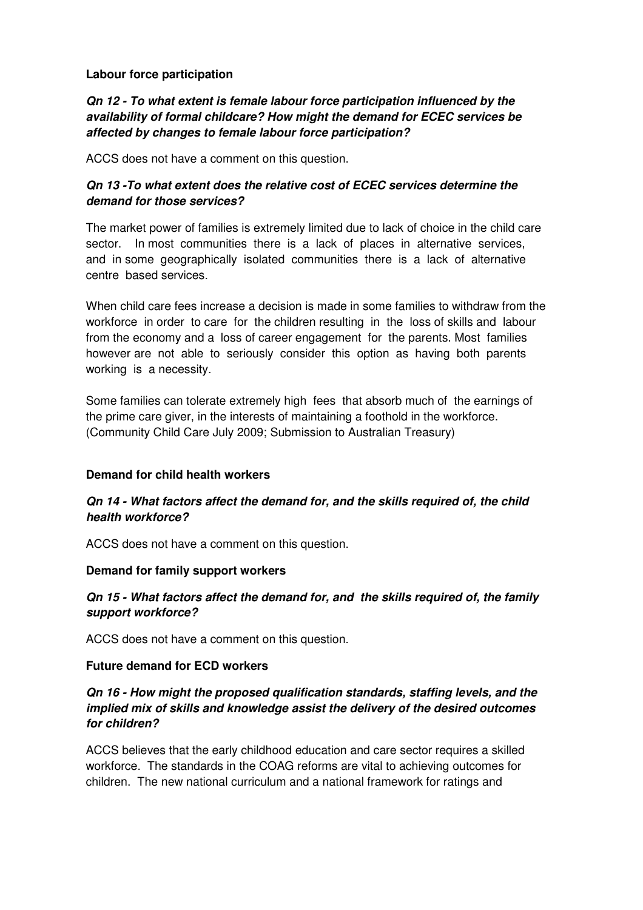#### **Labour force participation**

# **Qn 12 - To what extent is female labour force participation influenced by the availability of formal childcare? How might the demand for ECEC services be affected by changes to female labour force participation?**

ACCS does not have a comment on this question.

# **Qn 13 -To what extent does the relative cost of ECEC services determine the demand for those services?**

The market power of families is extremely limited due to lack of choice in the child care sector. In most communities there is a lack of places in alternative services, and in some geographically isolated communities there is a lack of alternative centre based services.

When child care fees increase a decision is made in some families to withdraw from the workforce in order to care for the children resulting in the loss of skills and labour from the economy and a loss of career engagement for the parents. Most families however are not able to seriously consider this option as having both parents working is a necessity.

Some families can tolerate extremely high fees that absorb much of the earnings of the prime care giver, in the interests of maintaining a foothold in the workforce. (Community Child Care July 2009; Submission to Australian Treasury)

#### **Demand for child health workers**

### **Qn 14 - What factors affect the demand for, and the skills required of, the child health workforce?**

ACCS does not have a comment on this question.

#### **Demand for family support workers**

### **Qn 15 - What factors affect the demand for, and the skills required of, the family support workforce?**

ACCS does not have a comment on this question.

#### **Future demand for ECD workers**

### **Qn 16 - How might the proposed qualification standards, staffing levels, and the implied mix of skills and knowledge assist the delivery of the desired outcomes for children?**

ACCS believes that the early childhood education and care sector requires a skilled workforce. The standards in the COAG reforms are vital to achieving outcomes for children. The new national curriculum and a national framework for ratings and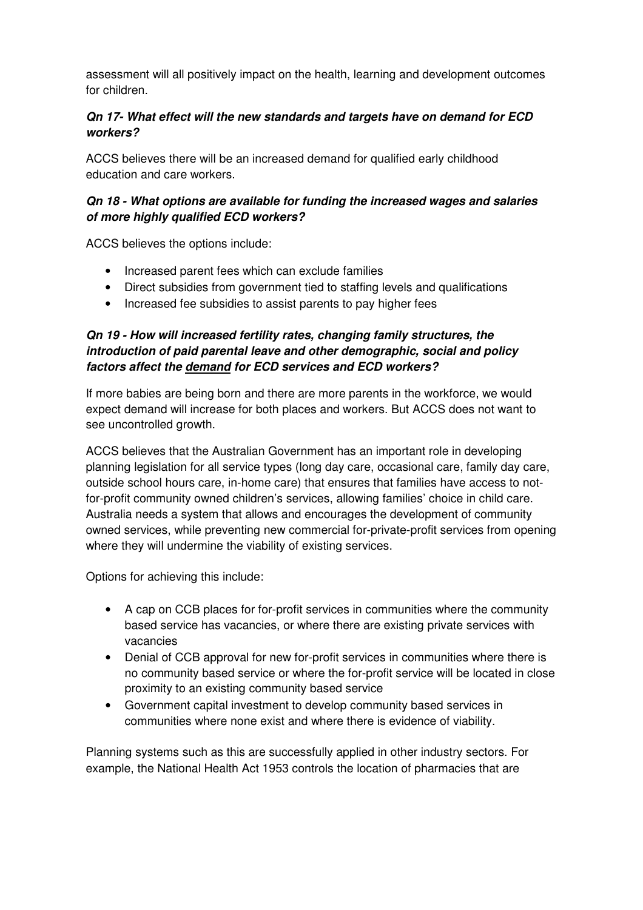assessment will all positively impact on the health, learning and development outcomes for children.

# **Qn 17- What effect will the new standards and targets have on demand for ECD workers?**

ACCS believes there will be an increased demand for qualified early childhood education and care workers.

# **Qn 18 - What options are available for funding the increased wages and salaries of more highly qualified ECD workers?**

ACCS believes the options include:

- Increased parent fees which can exclude families
- Direct subsidies from government tied to staffing levels and qualifications
- Increased fee subsidies to assist parents to pay higher fees

# **Qn 19 - How will increased fertility rates, changing family structures, the introduction of paid parental leave and other demographic, social and policy factors affect the demand for ECD services and ECD workers?**

If more babies are being born and there are more parents in the workforce, we would expect demand will increase for both places and workers. But ACCS does not want to see uncontrolled growth.

ACCS believes that the Australian Government has an important role in developing planning legislation for all service types (long day care, occasional care, family day care, outside school hours care, in-home care) that ensures that families have access to notfor-profit community owned children's services, allowing families' choice in child care. Australia needs a system that allows and encourages the development of community owned services, while preventing new commercial for-private-profit services from opening where they will undermine the viability of existing services.

Options for achieving this include:

- A cap on CCB places for for-profit services in communities where the community based service has vacancies, or where there are existing private services with vacancies
- Denial of CCB approval for new for-profit services in communities where there is no community based service or where the for-profit service will be located in close proximity to an existing community based service
- Government capital investment to develop community based services in communities where none exist and where there is evidence of viability.

Planning systems such as this are successfully applied in other industry sectors. For example, the National Health Act 1953 controls the location of pharmacies that are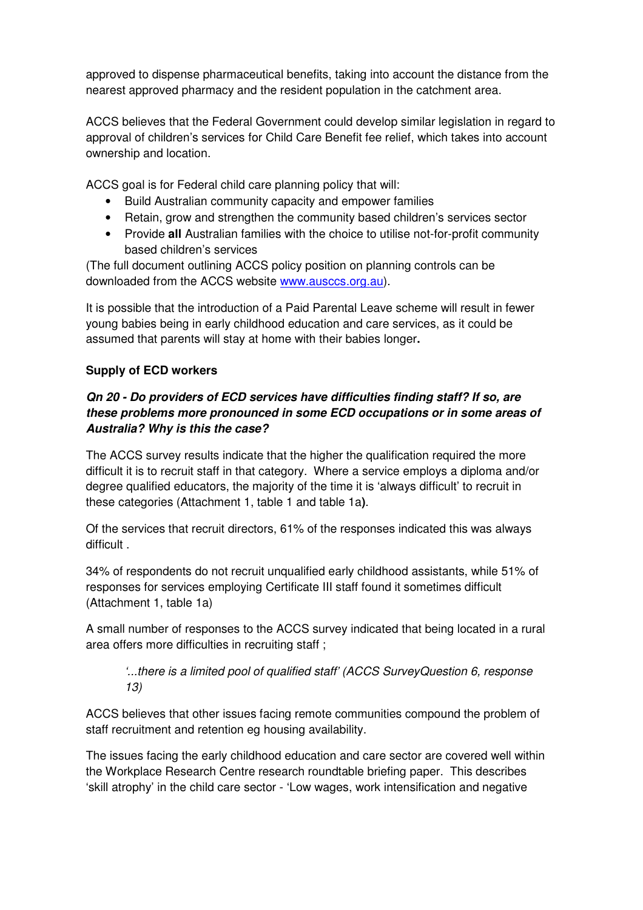approved to dispense pharmaceutical benefits, taking into account the distance from the nearest approved pharmacy and the resident population in the catchment area.

ACCS believes that the Federal Government could develop similar legislation in regard to approval of children's services for Child Care Benefit fee relief, which takes into account ownership and location.

ACCS goal is for Federal child care planning policy that will:

- Build Australian community capacity and empower families
- Retain, grow and strengthen the community based children's services sector
- Provide **all** Australian families with the choice to utilise not-for-profit community based children's services

(The full document outlining ACCS policy position on planning controls can be downloaded from the ACCS website www.ausccs.org.au).

It is possible that the introduction of a Paid Parental Leave scheme will result in fewer young babies being in early childhood education and care services, as it could be assumed that parents will stay at home with their babies longer**.** 

# **Supply of ECD workers**

# **Qn 20 - Do providers of ECD services have difficulties finding staff? If so, are these problems more pronounced in some ECD occupations or in some areas of Australia? Why is this the case?**

The ACCS survey results indicate that the higher the qualification required the more difficult it is to recruit staff in that category. Where a service employs a diploma and/or degree qualified educators, the majority of the time it is 'always difficult' to recruit in these categories (Attachment 1, table 1 and table 1a**)**.

Of the services that recruit directors, 61% of the responses indicated this was always difficult .

34% of respondents do not recruit unqualified early childhood assistants, while 51% of responses for services employing Certificate III staff found it sometimes difficult (Attachment 1, table 1a)

A small number of responses to the ACCS survey indicated that being located in a rural area offers more difficulties in recruiting staff ;

### '...there is a limited pool of qualified staff' (ACCS SurveyQuestion 6, response 13)

ACCS believes that other issues facing remote communities compound the problem of staff recruitment and retention eg housing availability.

The issues facing the early childhood education and care sector are covered well within the Workplace Research Centre research roundtable briefing paper. This describes 'skill atrophy' in the child care sector - 'Low wages, work intensification and negative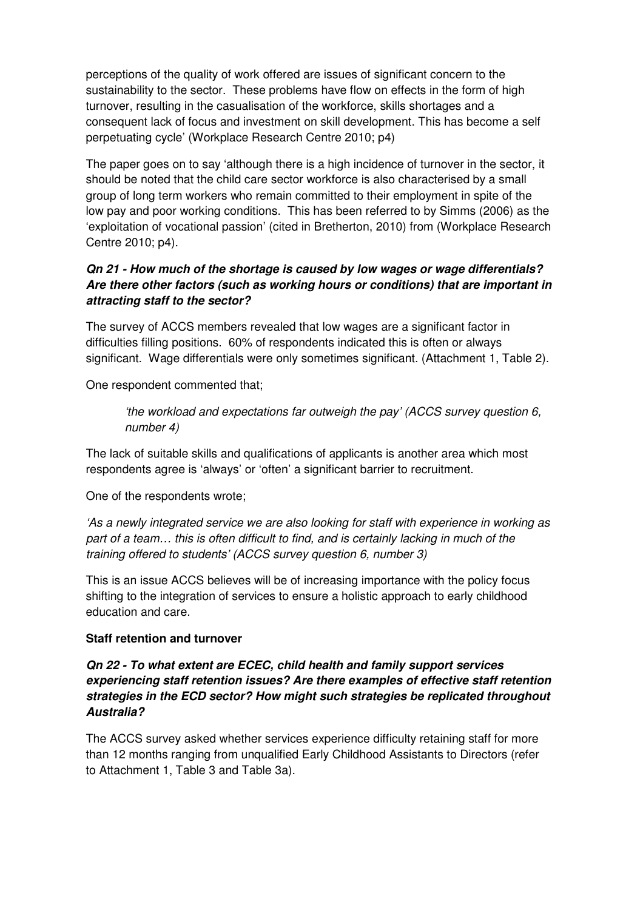perceptions of the quality of work offered are issues of significant concern to the sustainability to the sector. These problems have flow on effects in the form of high turnover, resulting in the casualisation of the workforce, skills shortages and a consequent lack of focus and investment on skill development. This has become a self perpetuating cycle' (Workplace Research Centre 2010; p4)

The paper goes on to say 'although there is a high incidence of turnover in the sector, it should be noted that the child care sector workforce is also characterised by a small group of long term workers who remain committed to their employment in spite of the low pay and poor working conditions. This has been referred to by Simms (2006) as the 'exploitation of vocational passion' (cited in Bretherton, 2010) from (Workplace Research Centre 2010; p4).

### **Qn 21 - How much of the shortage is caused by low wages or wage differentials? Are there other factors (such as working hours or conditions) that are important in attracting staff to the sector?**

The survey of ACCS members revealed that low wages are a significant factor in difficulties filling positions. 60% of respondents indicated this is often or always significant. Wage differentials were only sometimes significant. (Attachment 1, Table 2).

One respondent commented that;

'the workload and expectations far outweigh the pay' (ACCS survey question 6, number 4)

The lack of suitable skills and qualifications of applicants is another area which most respondents agree is 'always' or 'often' a significant barrier to recruitment.

One of the respondents wrote;

'As a newly integrated service we are also looking for staff with experience in working as part of a team… this is often difficult to find, and is certainly lacking in much of the training offered to students' (ACCS survey question 6, number 3)

This is an issue ACCS believes will be of increasing importance with the policy focus shifting to the integration of services to ensure a holistic approach to early childhood education and care.

### **Staff retention and turnover**

### **Qn 22 - To what extent are ECEC, child health and family support services experiencing staff retention issues? Are there examples of effective staff retention strategies in the ECD sector? How might such strategies be replicated throughout Australia?**

The ACCS survey asked whether services experience difficulty retaining staff for more than 12 months ranging from unqualified Early Childhood Assistants to Directors (refer to Attachment 1, Table 3 and Table 3a).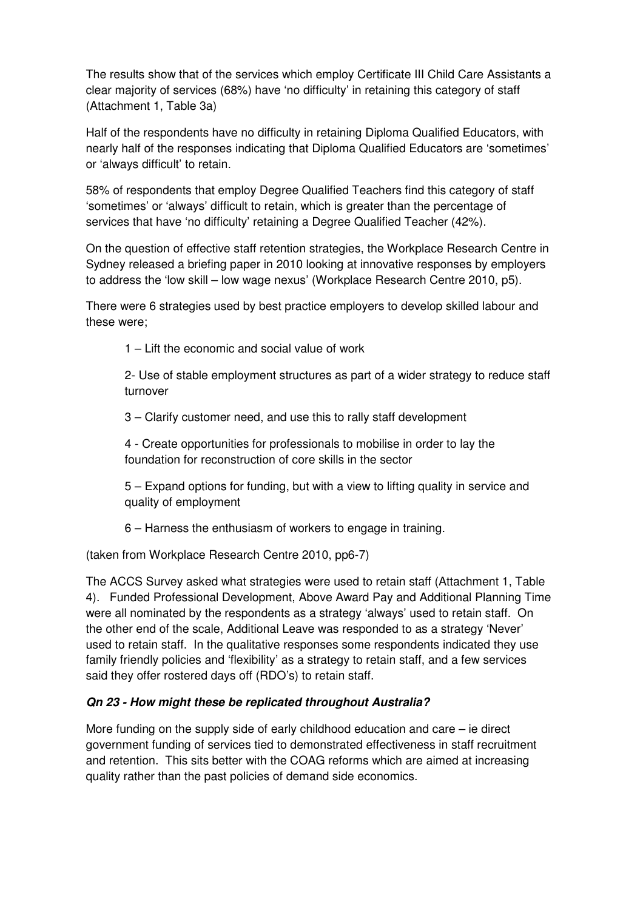The results show that of the services which employ Certificate III Child Care Assistants a clear majority of services (68%) have 'no difficulty' in retaining this category of staff (Attachment 1, Table 3a)

Half of the respondents have no difficulty in retaining Diploma Qualified Educators, with nearly half of the responses indicating that Diploma Qualified Educators are 'sometimes' or 'always difficult' to retain.

58% of respondents that employ Degree Qualified Teachers find this category of staff 'sometimes' or 'always' difficult to retain, which is greater than the percentage of services that have 'no difficulty' retaining a Degree Qualified Teacher (42%).

On the question of effective staff retention strategies, the Workplace Research Centre in Sydney released a briefing paper in 2010 looking at innovative responses by employers to address the 'low skill – low wage nexus' (Workplace Research Centre 2010, p5).

There were 6 strategies used by best practice employers to develop skilled labour and these were;

1 – Lift the economic and social value of work

2- Use of stable employment structures as part of a wider strategy to reduce staff turnover

3 – Clarify customer need, and use this to rally staff development

4 - Create opportunities for professionals to mobilise in order to lay the foundation for reconstruction of core skills in the sector

5 – Expand options for funding, but with a view to lifting quality in service and quality of employment

6 – Harness the enthusiasm of workers to engage in training.

(taken from Workplace Research Centre 2010, pp6-7)

The ACCS Survey asked what strategies were used to retain staff (Attachment 1, Table 4). Funded Professional Development, Above Award Pay and Additional Planning Time were all nominated by the respondents as a strategy 'always' used to retain staff. On the other end of the scale, Additional Leave was responded to as a strategy 'Never' used to retain staff. In the qualitative responses some respondents indicated they use family friendly policies and 'flexibility' as a strategy to retain staff, and a few services said they offer rostered days off (RDO's) to retain staff.

### **Qn 23 - How might these be replicated throughout Australia?**

More funding on the supply side of early childhood education and care  $-$  ie direct government funding of services tied to demonstrated effectiveness in staff recruitment and retention. This sits better with the COAG reforms which are aimed at increasing quality rather than the past policies of demand side economics.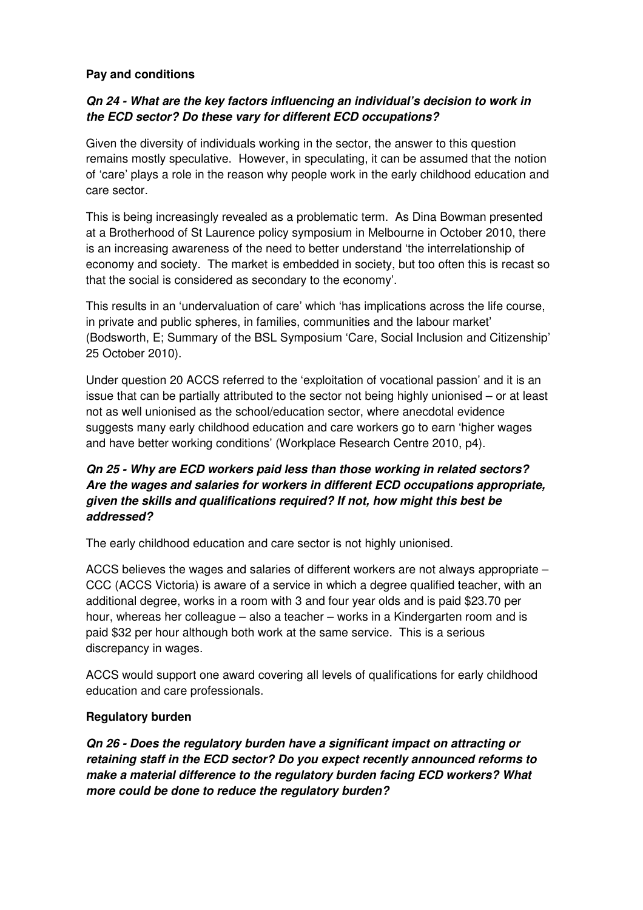#### **Pay and conditions**

### **Qn 24 - What are the key factors influencing an individual's decision to work in the ECD sector? Do these vary for different ECD occupations?**

Given the diversity of individuals working in the sector, the answer to this question remains mostly speculative. However, in speculating, it can be assumed that the notion of 'care' plays a role in the reason why people work in the early childhood education and care sector.

This is being increasingly revealed as a problematic term. As Dina Bowman presented at a Brotherhood of St Laurence policy symposium in Melbourne in October 2010, there is an increasing awareness of the need to better understand 'the interrelationship of economy and society. The market is embedded in society, but too often this is recast so that the social is considered as secondary to the economy'.

This results in an 'undervaluation of care' which 'has implications across the life course, in private and public spheres, in families, communities and the labour market' (Bodsworth, E; Summary of the BSL Symposium 'Care, Social Inclusion and Citizenship' 25 October 2010).

Under question 20 ACCS referred to the 'exploitation of vocational passion' and it is an issue that can be partially attributed to the sector not being highly unionised – or at least not as well unionised as the school/education sector, where anecdotal evidence suggests many early childhood education and care workers go to earn 'higher wages and have better working conditions' (Workplace Research Centre 2010, p4).

# **Qn 25 - Why are ECD workers paid less than those working in related sectors? Are the wages and salaries for workers in different ECD occupations appropriate, given the skills and qualifications required? If not, how might this best be addressed?**

The early childhood education and care sector is not highly unionised.

ACCS believes the wages and salaries of different workers are not always appropriate – CCC (ACCS Victoria) is aware of a service in which a degree qualified teacher, with an additional degree, works in a room with 3 and four year olds and is paid \$23.70 per hour, whereas her colleague – also a teacher – works in a Kindergarten room and is paid \$32 per hour although both work at the same service. This is a serious discrepancy in wages.

ACCS would support one award covering all levels of qualifications for early childhood education and care professionals.

### **Regulatory burden**

**Qn 26 - Does the regulatory burden have a significant impact on attracting or retaining staff in the ECD sector? Do you expect recently announced reforms to make a material difference to the regulatory burden facing ECD workers? What more could be done to reduce the regulatory burden?**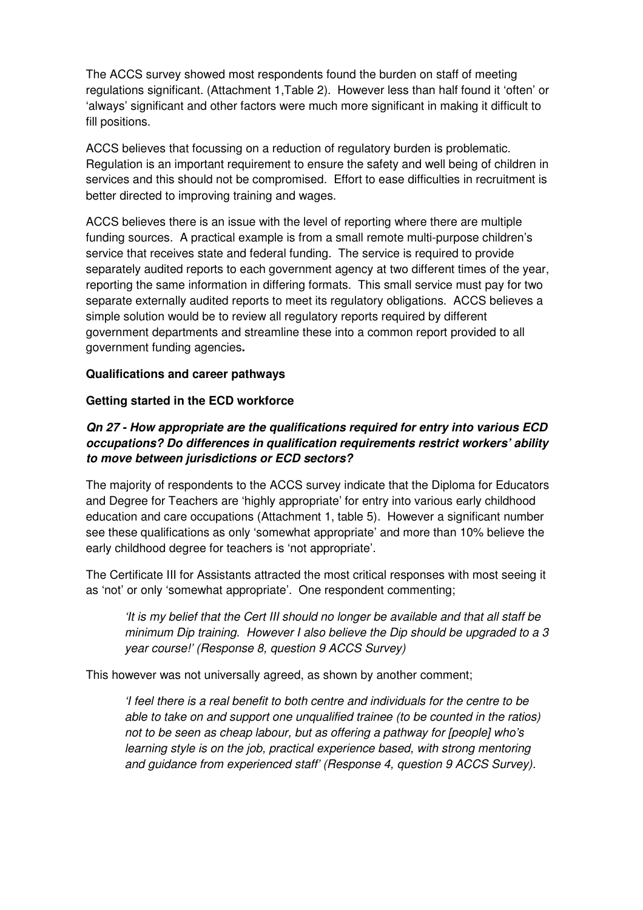The ACCS survey showed most respondents found the burden on staff of meeting regulations significant. (Attachment 1,Table 2). However less than half found it 'often' or 'always' significant and other factors were much more significant in making it difficult to fill positions.

ACCS believes that focussing on a reduction of regulatory burden is problematic. Regulation is an important requirement to ensure the safety and well being of children in services and this should not be compromised. Effort to ease difficulties in recruitment is better directed to improving training and wages.

ACCS believes there is an issue with the level of reporting where there are multiple funding sources. A practical example is from a small remote multi-purpose children's service that receives state and federal funding. The service is required to provide separately audited reports to each government agency at two different times of the year, reporting the same information in differing formats. This small service must pay for two separate externally audited reports to meet its regulatory obligations. ACCS believes a simple solution would be to review all regulatory reports required by different government departments and streamline these into a common report provided to all government funding agencies**.** 

#### **Qualifications and career pathways**

### **Getting started in the ECD workforce**

# **Qn 27 - How appropriate are the qualifications required for entry into various ECD occupations? Do differences in qualification requirements restrict workers' ability to move between jurisdictions or ECD sectors?**

The majority of respondents to the ACCS survey indicate that the Diploma for Educators and Degree for Teachers are 'highly appropriate' for entry into various early childhood education and care occupations (Attachment 1, table 5). However a significant number see these qualifications as only 'somewhat appropriate' and more than 10% believe the early childhood degree for teachers is 'not appropriate'.

The Certificate III for Assistants attracted the most critical responses with most seeing it as 'not' or only 'somewhat appropriate'. One respondent commenting;

'It is my belief that the Cert III should no longer be available and that all staff be minimum Dip training. However I also believe the Dip should be upgraded to a 3 year course!' (Response 8, question 9 ACCS Survey)

This however was not universally agreed, as shown by another comment;

'I feel there is a real benefit to both centre and individuals for the centre to be able to take on and support one unqualified trainee (to be counted in the ratios) not to be seen as cheap labour, but as offering a pathway for [people] who's learning style is on the job, practical experience based, with strong mentoring and guidance from experienced staff' (Response 4, question 9 ACCS Survey).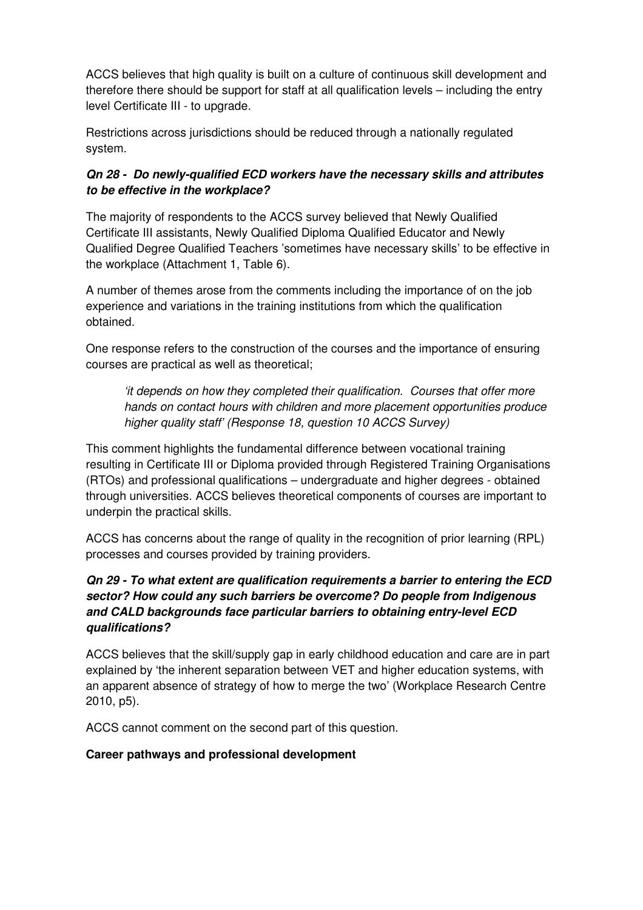ACCS believes that high quality is built on a culture of continuous skill development and therefore there should be support for staff at all qualification levels – including the entry level Certificate III - to upgrade.

Restrictions across jurisdictions should be reduced through a nationally regulated system.

# **Qn 28 - Do newly-qualified ECD workers have the necessary skills and attributes to be effective in the workplace?**

The majority of respondents to the ACCS survey believed that Newly Qualified Certificate III assistants, Newly Qualified Diploma Qualified Educator and Newly Qualified Degree Qualified Teachers 'sometimes have necessary skills' to be effective in the workplace (Attachment 1, Table 6).

A number of themes arose from the comments including the importance of on the job experience and variations in the training institutions from which the qualification obtained.

One response refers to the construction of the courses and the importance of ensuring courses are practical as well as theoretical;

'it depends on how they completed their qualification. Courses that offer more hands on contact hours with children and more placement opportunities produce higher quality staff' (Response 18, question 10 ACCS Survey)

This comment highlights the fundamental difference between vocational training resulting in Certificate III or Diploma provided through Registered Training Organisations (RTOs) and professional qualifications – undergraduate and higher degrees - obtained through universities. ACCS believes theoretical components of courses are important to underpin the practical skills.

ACCS has concerns about the range of quality in the recognition of prior learning (RPL) processes and courses provided by training providers.

# **Qn 29 - To what extent are qualification requirements a barrier to entering the ECD sector? How could any such barriers be overcome? Do people from Indigenous and CALD backgrounds face particular barriers to obtaining entry-level ECD qualifications?**

ACCS believes that the skill/supply gap in early childhood education and care are in part explained by 'the inherent separation between VET and higher education systems, with an apparent absence of strategy of how to merge the two' (Workplace Research Centre 2010, p5).

ACCS cannot comment on the second part of this question.

# **Career pathways and professional development**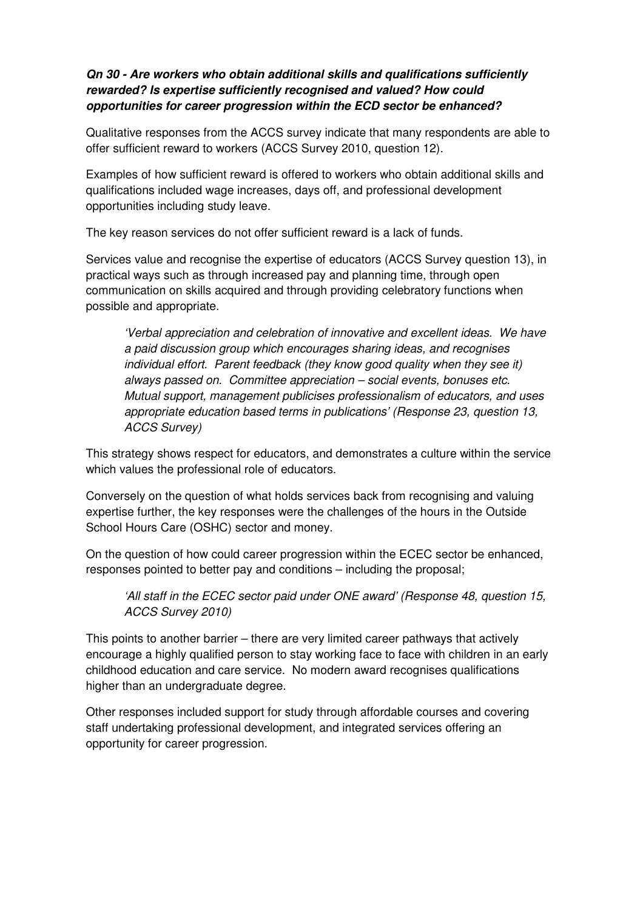## **Qn 30 - Are workers who obtain additional skills and qualifications sufficiently rewarded? Is expertise sufficiently recognised and valued? How could opportunities for career progression within the ECD sector be enhanced?**

Qualitative responses from the ACCS survey indicate that many respondents are able to offer sufficient reward to workers (ACCS Survey 2010, question 12).

Examples of how sufficient reward is offered to workers who obtain additional skills and qualifications included wage increases, days off, and professional development opportunities including study leave.

The key reason services do not offer sufficient reward is a lack of funds.

Services value and recognise the expertise of educators (ACCS Survey question 13), in practical ways such as through increased pay and planning time, through open communication on skills acquired and through providing celebratory functions when possible and appropriate.

'Verbal appreciation and celebration of innovative and excellent ideas. We have a paid discussion group which encourages sharing ideas, and recognises individual effort. Parent feedback (they know good quality when they see it) always passed on. Committee appreciation – social events, bonuses etc. Mutual support, management publicises professionalism of educators, and uses appropriate education based terms in publications' (Response 23, question 13, ACCS Survey)

This strategy shows respect for educators, and demonstrates a culture within the service which values the professional role of educators.

Conversely on the question of what holds services back from recognising and valuing expertise further, the key responses were the challenges of the hours in the Outside School Hours Care (OSHC) sector and money.

On the question of how could career progression within the ECEC sector be enhanced, responses pointed to better pay and conditions – including the proposal;

'All staff in the ECEC sector paid under ONE award' (Response 48, question 15, ACCS Survey 2010)

This points to another barrier – there are very limited career pathways that actively encourage a highly qualified person to stay working face to face with children in an early childhood education and care service. No modern award recognises qualifications higher than an undergraduate degree.

Other responses included support for study through affordable courses and covering staff undertaking professional development, and integrated services offering an opportunity for career progression.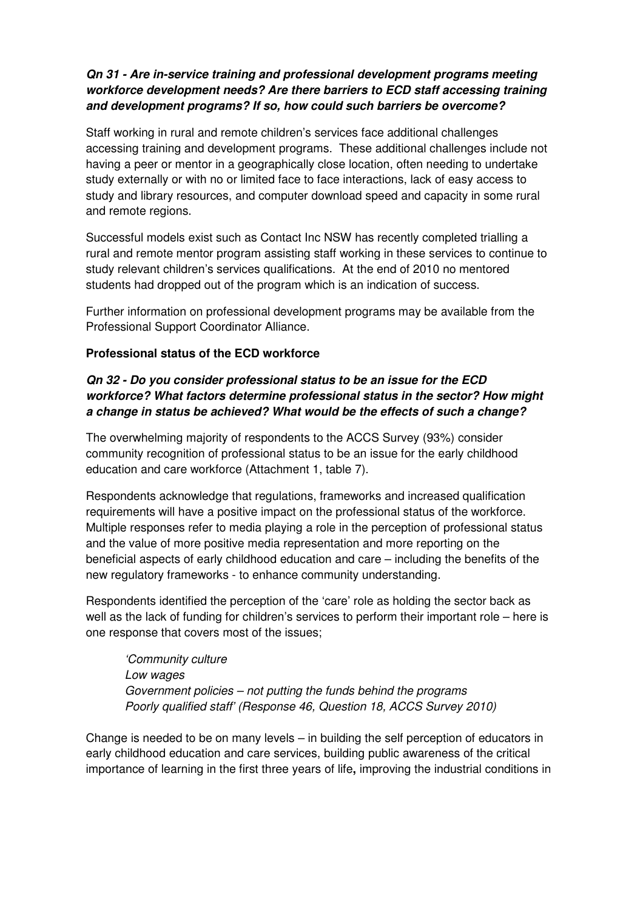# **Qn 31 - Are in-service training and professional development programs meeting workforce development needs? Are there barriers to ECD staff accessing training and development programs? If so, how could such barriers be overcome?**

Staff working in rural and remote children's services face additional challenges accessing training and development programs. These additional challenges include not having a peer or mentor in a geographically close location, often needing to undertake study externally or with no or limited face to face interactions, lack of easy access to study and library resources, and computer download speed and capacity in some rural and remote regions.

Successful models exist such as Contact Inc NSW has recently completed trialling a rural and remote mentor program assisting staff working in these services to continue to study relevant children's services qualifications. At the end of 2010 no mentored students had dropped out of the program which is an indication of success.

Further information on professional development programs may be available from the Professional Support Coordinator Alliance.

### **Professional status of the ECD workforce**

# **Qn 32 - Do you consider professional status to be an issue for the ECD workforce? What factors determine professional status in the sector? How might a change in status be achieved? What would be the effects of such a change?**

The overwhelming majority of respondents to the ACCS Survey (93%) consider community recognition of professional status to be an issue for the early childhood education and care workforce (Attachment 1, table 7).

Respondents acknowledge that regulations, frameworks and increased qualification requirements will have a positive impact on the professional status of the workforce. Multiple responses refer to media playing a role in the perception of professional status and the value of more positive media representation and more reporting on the beneficial aspects of early childhood education and care – including the benefits of the new regulatory frameworks - to enhance community understanding.

Respondents identified the perception of the 'care' role as holding the sector back as well as the lack of funding for children's services to perform their important role – here is one response that covers most of the issues;

'Community culture Low wages Government policies – not putting the funds behind the programs Poorly qualified staff' (Response 46, Question 18, ACCS Survey 2010)

Change is needed to be on many levels – in building the self perception of educators in early childhood education and care services, building public awareness of the critical importance of learning in the first three years of life**,** improving the industrial conditions in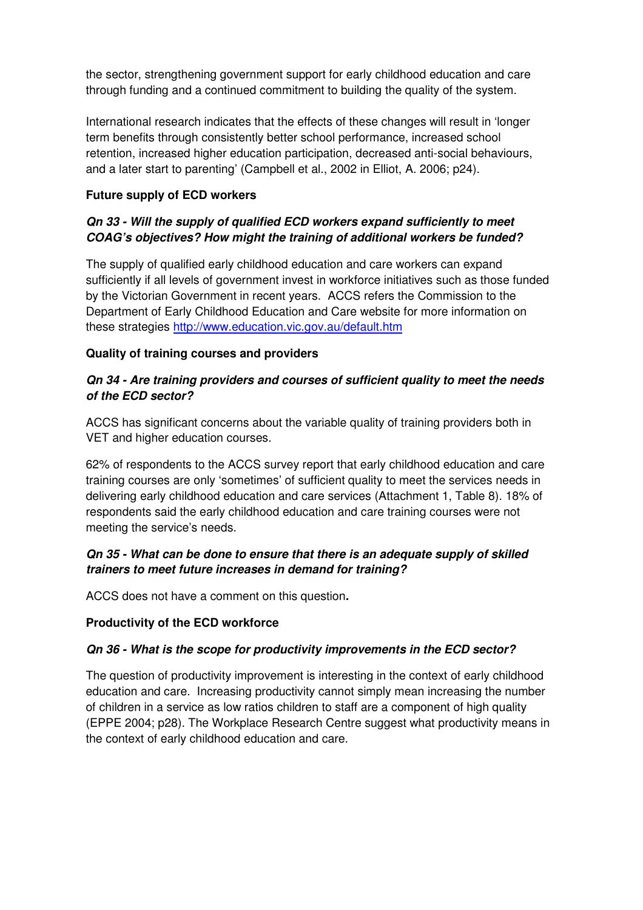the sector, strengthening government support for early childhood education and care through funding and a continued commitment to building the quality of the system.

International research indicates that the effects of these changes will result in 'longer term benefits through consistently better school performance, increased school retention, increased higher education participation, decreased anti-social behaviours, and a later start to parenting' (Campbell et al., 2002 in Elliot, A. 2006; p24).

## **Future supply of ECD workers**

# **Qn 33 - Will the supply of qualified ECD workers expand sufficiently to meet COAG's objectives? How might the training of additional workers be funded?**

The supply of qualified early childhood education and care workers can expand sufficiently if all levels of government invest in workforce initiatives such as those funded by the Victorian Government in recent years. ACCS refers the Commission to the Department of Early Childhood Education and Care website for more information on these strategies http://www.education.vic.gov.au/default.htm

# **Quality of training courses and providers**

# **Qn 34 - Are training providers and courses of sufficient quality to meet the needs of the ECD sector?**

ACCS has significant concerns about the variable quality of training providers both in VET and higher education courses.

62% of respondents to the ACCS survey report that early childhood education and care training courses are only 'sometimes' of sufficient quality to meet the services needs in delivering early childhood education and care services (Attachment 1, Table 8). 18% of respondents said the early childhood education and care training courses were not meeting the service's needs.

### **Qn 35 - What can be done to ensure that there is an adequate supply of skilled trainers to meet future increases in demand for training?**

ACCS does not have a comment on this question**.** 

# **Productivity of the ECD workforce**

# **Qn 36 - What is the scope for productivity improvements in the ECD sector?**

The question of productivity improvement is interesting in the context of early childhood education and care. Increasing productivity cannot simply mean increasing the number of children in a service as low ratios children to staff are a component of high quality (EPPE 2004; p28). The Workplace Research Centre suggest what productivity means in the context of early childhood education and care.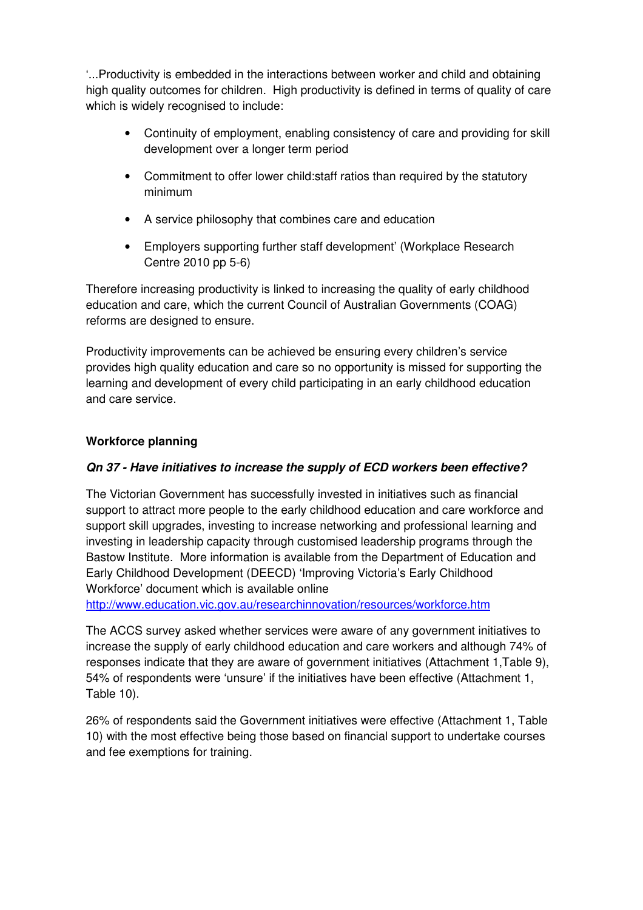'...Productivity is embedded in the interactions between worker and child and obtaining high quality outcomes for children. High productivity is defined in terms of quality of care which is widely recognised to include:

- Continuity of employment, enabling consistency of care and providing for skill development over a longer term period
- Commitment to offer lower child:staff ratios than required by the statutory minimum
- A service philosophy that combines care and education
- Employers supporting further staff development' (Workplace Research Centre 2010 pp 5-6)

Therefore increasing productivity is linked to increasing the quality of early childhood education and care, which the current Council of Australian Governments (COAG) reforms are designed to ensure.

Productivity improvements can be achieved be ensuring every children's service provides high quality education and care so no opportunity is missed for supporting the learning and development of every child participating in an early childhood education and care service.

### **Workforce planning**

### **Qn 37 - Have initiatives to increase the supply of ECD workers been effective?**

The Victorian Government has successfully invested in initiatives such as financial support to attract more people to the early childhood education and care workforce and support skill upgrades, investing to increase networking and professional learning and investing in leadership capacity through customised leadership programs through the Bastow Institute. More information is available from the Department of Education and Early Childhood Development (DEECD) 'Improving Victoria's Early Childhood Workforce' document which is available online

http://www.education.vic.gov.au/researchinnovation/resources/workforce.htm

The ACCS survey asked whether services were aware of any government initiatives to increase the supply of early childhood education and care workers and although 74% of responses indicate that they are aware of government initiatives (Attachment 1,Table 9), 54% of respondents were 'unsure' if the initiatives have been effective (Attachment 1, Table 10).

26% of respondents said the Government initiatives were effective (Attachment 1, Table 10) with the most effective being those based on financial support to undertake courses and fee exemptions for training.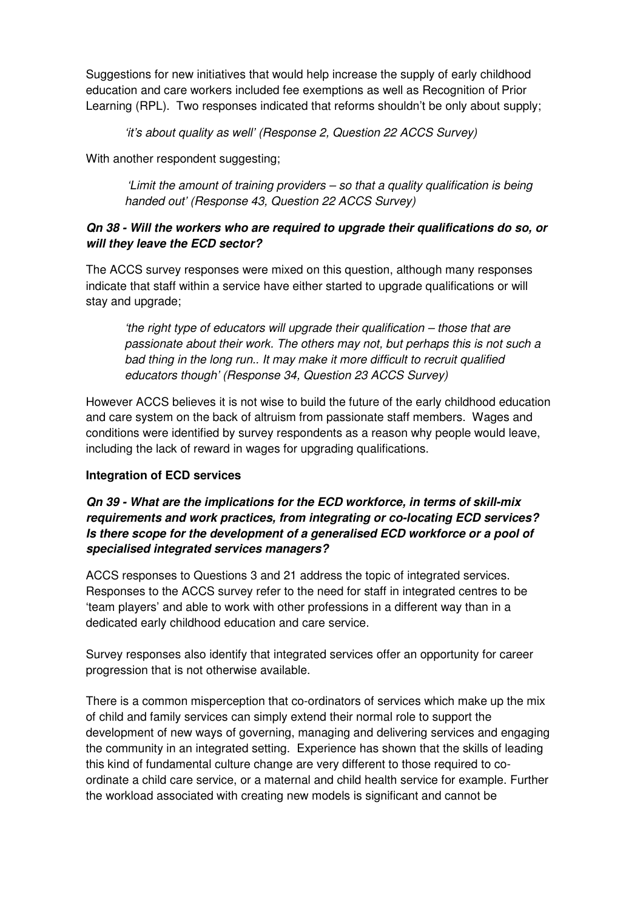Suggestions for new initiatives that would help increase the supply of early childhood education and care workers included fee exemptions as well as Recognition of Prior Learning (RPL). Two responses indicated that reforms shouldn't be only about supply;

'it's about quality as well' (Response 2, Question 22 ACCS Survey)

With another respondent suggesting;

'Limit the amount of training providers – so that a quality qualification is being handed out' (Response 43, Question 22 ACCS Survey)

# **Qn 38 - Will the workers who are required to upgrade their qualifications do so, or will they leave the ECD sector?**

The ACCS survey responses were mixed on this question, although many responses indicate that staff within a service have either started to upgrade qualifications or will stay and upgrade;

'the right type of educators will upgrade their qualification – those that are passionate about their work. The others may not, but perhaps this is not such a bad thing in the long run.. It may make it more difficult to recruit qualified educators though' (Response 34, Question 23 ACCS Survey)

However ACCS believes it is not wise to build the future of the early childhood education and care system on the back of altruism from passionate staff members. Wages and conditions were identified by survey respondents as a reason why people would leave, including the lack of reward in wages for upgrading qualifications.

### **Integration of ECD services**

## **Qn 39 - What are the implications for the ECD workforce, in terms of skill-mix requirements and work practices, from integrating or co-locating ECD services? Is there scope for the development of a generalised ECD workforce or a pool of specialised integrated services managers?**

ACCS responses to Questions 3 and 21 address the topic of integrated services. Responses to the ACCS survey refer to the need for staff in integrated centres to be 'team players' and able to work with other professions in a different way than in a dedicated early childhood education and care service.

Survey responses also identify that integrated services offer an opportunity for career progression that is not otherwise available.

There is a common misperception that co-ordinators of services which make up the mix of child and family services can simply extend their normal role to support the development of new ways of governing, managing and delivering services and engaging the community in an integrated setting. Experience has shown that the skills of leading this kind of fundamental culture change are very different to those required to coordinate a child care service, or a maternal and child health service for example. Further the workload associated with creating new models is significant and cannot be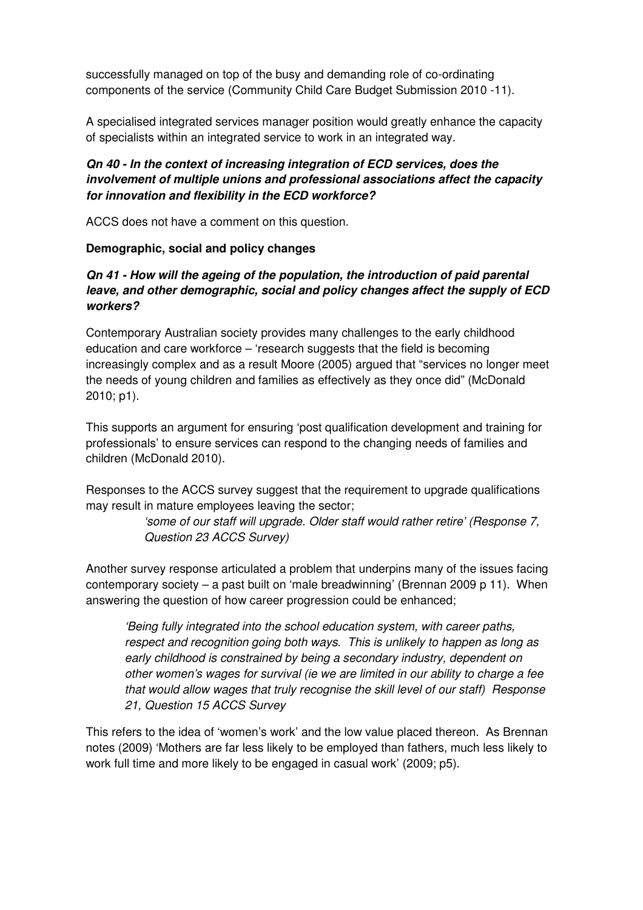successfully managed on top of the busy and demanding role of co-ordinating components of the service (Community Child Care Budget Submission 2010 -11).

A specialised integrated services manager position would greatly enhance the capacity of specialists within an integrated service to work in an integrated way.

# **Qn 40 - In the context of increasing integration of ECD services, does the involvement of multiple unions and professional associations affect the capacity for innovation and flexibility in the ECD workforce?**

ACCS does not have a comment on this question.

#### **Demographic, social and policy changes**

### **Qn 41 - How will the ageing of the population, the introduction of paid parental leave, and other demographic, social and policy changes affect the supply of ECD workers?**

Contemporary Australian society provides many challenges to the early childhood education and care workforce – 'research suggests that the field is becoming increasingly complex and as a result Moore (2005) argued that "services no longer meet the needs of young children and families as effectively as they once did" (McDonald 2010; p1).

This supports an argument for ensuring 'post qualification development and training for professionals' to ensure services can respond to the changing needs of families and children (McDonald 2010).

Responses to the ACCS survey suggest that the requirement to upgrade qualifications may result in mature employees leaving the sector;

> 'some of our staff will upgrade. Older staff would rather retire' (Response 7, Question 23 ACCS Survey)

Another survey response articulated a problem that underpins many of the issues facing contemporary society – a past built on 'male breadwinning' (Brennan 2009 p 11). When answering the question of how career progression could be enhanced;

'Being fully integrated into the school education system, with career paths, respect and recognition going both ways. This is unlikely to happen as long as early childhood is constrained by being a secondary industry, dependent on other women's wages for survival (ie we are limited in our ability to charge a fee that would allow wages that truly recognise the skill level of our staff) Response 21, Question 15 ACCS Survey

This refers to the idea of 'women's work' and the low value placed thereon. As Brennan notes (2009) 'Mothers are far less likely to be employed than fathers, much less likely to work full time and more likely to be engaged in casual work' (2009; p5).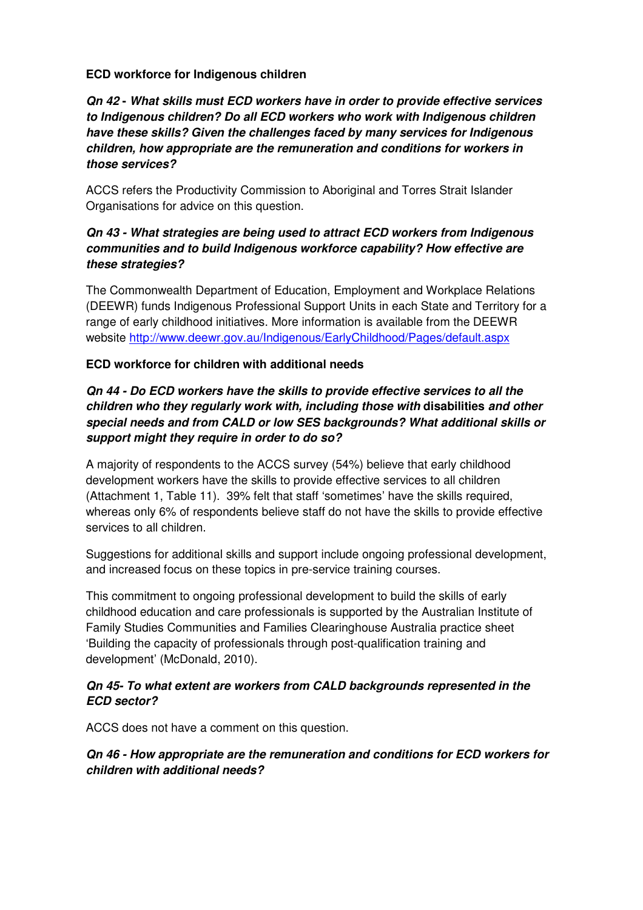#### **ECD workforce for Indigenous children**

### **Qn 42 - What skills must ECD workers have in order to provide effective services to Indigenous children? Do all ECD workers who work with Indigenous children have these skills? Given the challenges faced by many services for Indigenous children, how appropriate are the remuneration and conditions for workers in those services?**

ACCS refers the Productivity Commission to Aboriginal and Torres Strait Islander Organisations for advice on this question.

## **Qn 43 - What strategies are being used to attract ECD workers from Indigenous communities and to build Indigenous workforce capability? How effective are these strategies?**

The Commonwealth Department of Education, Employment and Workplace Relations (DEEWR) funds Indigenous Professional Support Units in each State and Territory for a range of early childhood initiatives. More information is available from the DEEWR website http://www.deewr.gov.au/Indigenous/EarlyChildhood/Pages/default.aspx

#### **ECD workforce for children with additional needs**

# **Qn 44 - Do ECD workers have the skills to provide effective services to all the children who they regularly work with, including those with disabilities and other special needs and from CALD or low SES backgrounds? What additional skills or support might they require in order to do so?**

A majority of respondents to the ACCS survey (54%) believe that early childhood development workers have the skills to provide effective services to all children (Attachment 1, Table 11). 39% felt that staff 'sometimes' have the skills required, whereas only 6% of respondents believe staff do not have the skills to provide effective services to all children.

Suggestions for additional skills and support include ongoing professional development, and increased focus on these topics in pre-service training courses.

This commitment to ongoing professional development to build the skills of early childhood education and care professionals is supported by the Australian Institute of Family Studies Communities and Families Clearinghouse Australia practice sheet 'Building the capacity of professionals through post-qualification training and development' (McDonald, 2010).

### **Qn 45- To what extent are workers from CALD backgrounds represented in the ECD sector?**

ACCS does not have a comment on this question.

# **Qn 46 - How appropriate are the remuneration and conditions for ECD workers for children with additional needs?**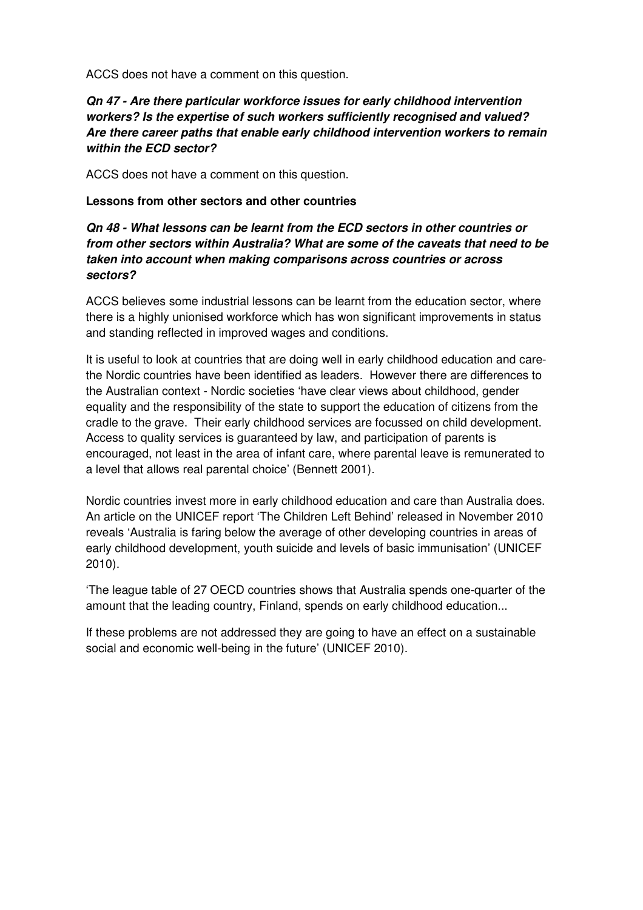ACCS does not have a comment on this question.

### **Qn 47 - Are there particular workforce issues for early childhood intervention workers? Is the expertise of such workers sufficiently recognised and valued? Are there career paths that enable early childhood intervention workers to remain within the ECD sector?**

ACCS does not have a comment on this question.

#### **Lessons from other sectors and other countries**

### **Qn 48 - What lessons can be learnt from the ECD sectors in other countries or from other sectors within Australia? What are some of the caveats that need to be taken into account when making comparisons across countries or across sectors?**

ACCS believes some industrial lessons can be learnt from the education sector, where there is a highly unionised workforce which has won significant improvements in status and standing reflected in improved wages and conditions.

It is useful to look at countries that are doing well in early childhood education and carethe Nordic countries have been identified as leaders. However there are differences to the Australian context - Nordic societies 'have clear views about childhood, gender equality and the responsibility of the state to support the education of citizens from the cradle to the grave. Their early childhood services are focussed on child development. Access to quality services is guaranteed by law, and participation of parents is encouraged, not least in the area of infant care, where parental leave is remunerated to a level that allows real parental choice' (Bennett 2001).

Nordic countries invest more in early childhood education and care than Australia does. An article on the UNICEF report 'The Children Left Behind' released in November 2010 reveals 'Australia is faring below the average of other developing countries in areas of early childhood development, youth suicide and levels of basic immunisation' (UNICEF 2010).

'The league table of 27 OECD countries shows that Australia spends one-quarter of the amount that the leading country, Finland, spends on early childhood education...

If these problems are not addressed they are going to have an effect on a sustainable social and economic well-being in the future' (UNICEF 2010).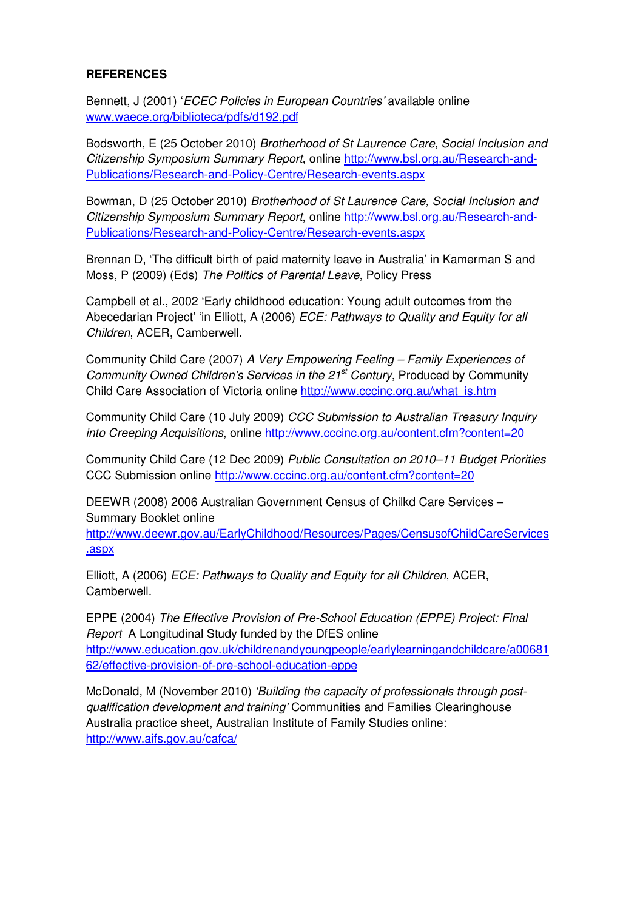#### **REFERENCES**

Bennett, J (2001) 'ECEC Policies in European Countries' available online www.waece.org/biblioteca/pdfs/d192.pdf

Bodsworth, E (25 October 2010) Brotherhood of St Laurence Care, Social Inclusion and Citizenship Symposium Summary Report, online http://www.bsl.org.au/Research-and-Publications/Research-and-Policy-Centre/Research-events.aspx

Bowman, D (25 October 2010) Brotherhood of St Laurence Care, Social Inclusion and Citizenship Symposium Summary Report, online http://www.bsl.org.au/Research-and-Publications/Research-and-Policy-Centre/Research-events.aspx

Brennan D, 'The difficult birth of paid maternity leave in Australia' in Kamerman S and Moss, P (2009) (Eds) The Politics of Parental Leave, Policy Press

Campbell et al., 2002 'Early childhood education: Young adult outcomes from the Abecedarian Project' 'in Elliott, A (2006) *ECE: Pathways to Quality and Equity for all* Children, ACER, Camberwell.

Community Child Care (2007) A Very Empowering Feeling – Family Experiences of Community Owned Children's Services in the 21<sup>st</sup> Century, Produced by Community Child Care Association of Victoria online http://www.cccinc.org.au/what\_is.htm

Community Child Care (10 July 2009) CCC Submission to Australian Treasury Inquiry into Creeping Acquisitions, online http://www.cccinc.org.au/content.cfm?content=20

Community Child Care (12 Dec 2009) Public Consultation on 2010–11 Budget Priorities CCC Submission online http://www.cccinc.org.au/content.cfm?content=20

DEEWR (2008) 2006 Australian Government Census of Chilkd Care Services – Summary Booklet online

http://www.deewr.gov.au/EarlyChildhood/Resources/Pages/CensusofChildCareServices .aspx

Elliott, A (2006) ECE: Pathways to Quality and Equity for all Children, ACER, Camberwell.

EPPE (2004) The Effective Provision of Pre-School Education (EPPE) Project: Final Report A Longitudinal Study funded by the DfES online http://www.education.gov.uk/childrenandyoungpeople/earlylearningandchildcare/a00681 62/effective-provision-of-pre-school-education-eppe

McDonald, M (November 2010) 'Building the capacity of professionals through postqualification development and training' Communities and Families Clearinghouse Australia practice sheet, Australian Institute of Family Studies online: http://www.aifs.gov.au/cafca/